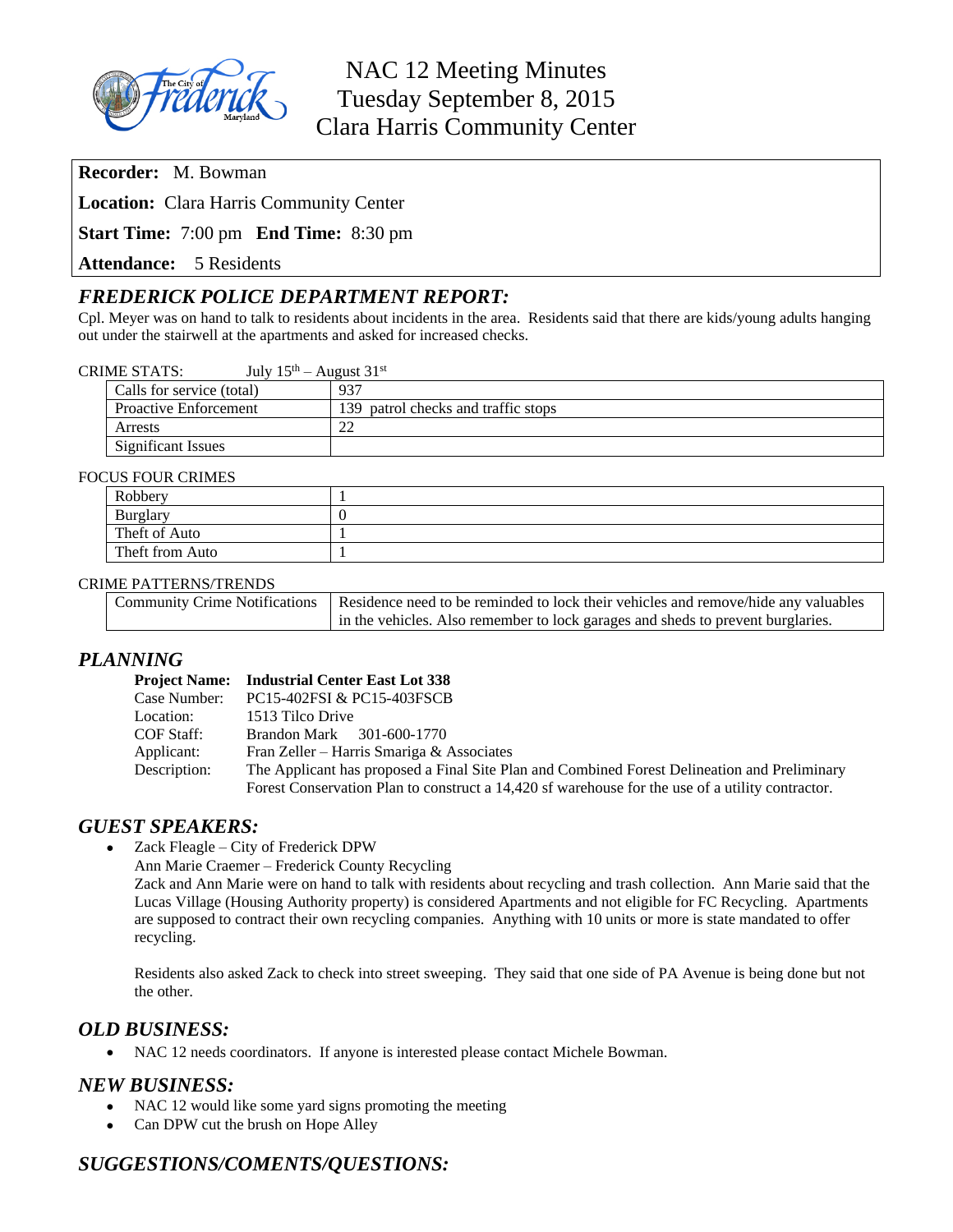

**Recorder:** M. Bowman

**Location:** Clara Harris Community Center

**Start Time:** 7:00 pm **End Time:** 8:30 pm

**Attendance:** 5 Residents

# *FREDERICK POLICE DEPARTMENT REPORT:*

Cpl. Meyer was on hand to talk to residents about incidents in the area. Residents said that there are kids/young adults hanging out under the stairwell at the apartments and asked for increased checks.

| <b>CRIME STATS:</b> | July $15th$ – August $31st$ |
|---------------------|-----------------------------|
|---------------------|-----------------------------|

| Calls for service (total)    | 937                                 |
|------------------------------|-------------------------------------|
| <b>Proactive Enforcement</b> | 139 patrol checks and traffic stops |
| Arrests                      | $\sim$<br>∠∠                        |
| <b>Significant Issues</b>    |                                     |

#### FOCUS FOUR CRIMES

| <b>CO I OCK CRIMED</b> |  |  |
|------------------------|--|--|
| Robbery                |  |  |
| <b>Burglary</b>        |  |  |
| Theft of Auto          |  |  |
| Theft from Auto        |  |  |

#### CRIME PATTERNS/TRENDS

| Community Crime Notifications   Residence need to be reminded to lock their vehicles and remove/hide any valuables |
|--------------------------------------------------------------------------------------------------------------------|
| in the vehicles. Also remember to lock garages and sheds to prevent burglaries.                                    |

## *PLANNING*

|              | <b>Project Name:</b> Industrial Center East Lot 338                                              |
|--------------|--------------------------------------------------------------------------------------------------|
| Case Number: | PC15-402FSI & PC15-403FSCB                                                                       |
| Location:    | 1513 Tilco Drive                                                                                 |
| COF Staff:   | Brandon Mark 301-600-1770                                                                        |
| Applicant:   | Fran Zeller – Harris Smariga & Associates                                                        |
| Description: | The Applicant has proposed a Final Site Plan and Combined Forest Delineation and Preliminary     |
|              | Forest Conservation Plan to construct a 14,420 sf warehouse for the use of a utility contractor. |

## *GUEST SPEAKERS:*

- Zack Fleagle City of Frederick DPW
	- Ann Marie Craemer Frederick County Recycling

Zack and Ann Marie were on hand to talk with residents about recycling and trash collection. Ann Marie said that the Lucas Village (Housing Authority property) is considered Apartments and not eligible for FC Recycling. Apartments are supposed to contract their own recycling companies. Anything with 10 units or more is state mandated to offer recycling.

Residents also asked Zack to check into street sweeping. They said that one side of PA Avenue is being done but not the other.

## *OLD BUSINESS:*

NAC 12 needs coordinators. If anyone is interested please contact Michele Bowman.

## *NEW BUSINESS:*

- NAC 12 would like some yard signs promoting the meeting
- Can DPW cut the brush on Hope Alley

# *SUGGESTIONS/COMENTS/QUESTIONS:*